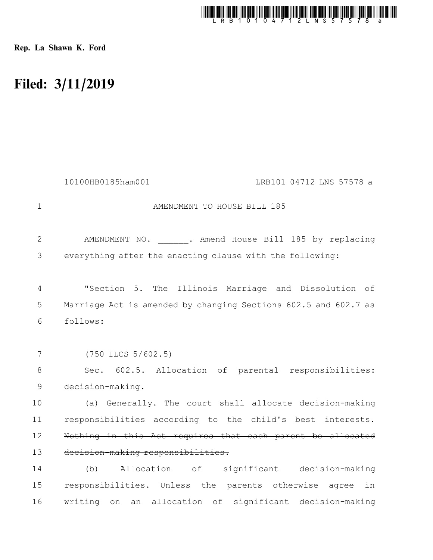

Rep. La Shawn K. Ford

## Filed: 3/11/2019

|                | 10100HB0185ham001<br>LRB101 04712 LNS 57578 a                   |
|----------------|-----------------------------------------------------------------|
| 1              | AMENDMENT TO HOUSE BILL 185                                     |
| 2              | AMENDMENT NO. . Amend House Bill 185 by replacing               |
| 3              | everything after the enacting clause with the following:        |
| $\overline{4}$ | "Section 5. The Illinois Marriage and Dissolution of            |
| 5              | Marriage Act is amended by changing Sections 602.5 and 602.7 as |
| 6              | follows:                                                        |
|                |                                                                 |
| 7              | $(750$ ILCS $5/602.5)$                                          |
| 8              | Sec. 602.5. Allocation of parental responsibilities:            |
| $\mathsf 9$    | decision-making.                                                |
| 10             | (a) Generally. The court shall allocate decision-making         |
| 11             | responsibilities according to the child's best interests.       |
| 12             | Nothing in this Act requires that each parent be allocated      |
| 13             | decision-making responsibilities.                               |
| 14             | (b) Allocation of significant decision-making                   |
| 15             | responsibilities. Unless the parents otherwise agree<br>in      |
| 16             | an allocation of significant decision-making<br>writing on      |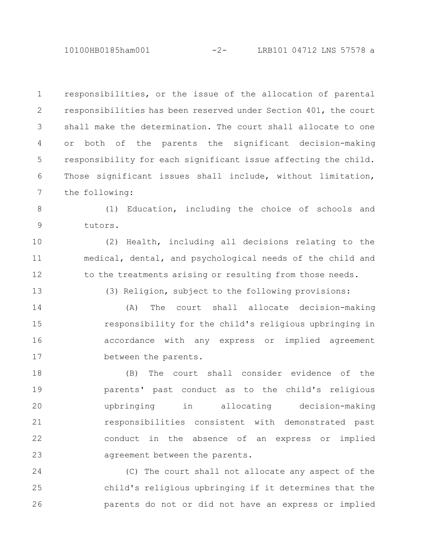10100HB0185ham001 -2- LRB101 04712 LNS 57578 a

responsibilities, or the issue of the allocation of parental responsibilities has been reserved under Section 401, the court shall make the determination. The court shall allocate to one or both of the parents the significant decision-making responsibility for each significant issue affecting the child. Those significant issues shall include, without limitation, the following: 1 2 3 4 5 6 7

(1) Education, including the choice of schools and tutors. 8 9

(2) Health, including all decisions relating to the medical, dental, and psychological needs of the child and to the treatments arising or resulting from those needs. 10 11 12

13

(3) Religion, subject to the following provisions:

(A) The court shall allocate decision-making responsibility for the child's religious upbringing in accordance with any express or implied agreement between the parents. 14 15 16 17

(B) The court shall consider evidence of the parents' past conduct as to the child's religious upbringing in allocating decision-making responsibilities consistent with demonstrated past conduct in the absence of an express or implied agreement between the parents. 18 19 20 21 22 23

(C) The court shall not allocate any aspect of the child's religious upbringing if it determines that the parents do not or did not have an express or implied 24 25 26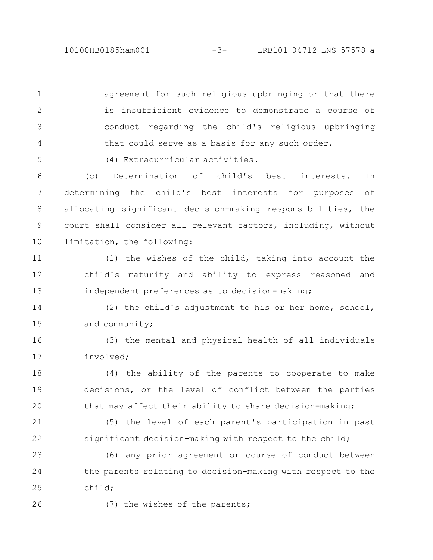agreement for such religious upbringing or that there is insufficient evidence to demonstrate a course of conduct regarding the child's religious upbringing that could serve as a basis for any such order. 1 2 3 4

(4) Extracurricular activities.

(c) Determination of child's best interests. In determining the child's best interests for purposes of allocating significant decision-making responsibilities, the court shall consider all relevant factors, including, without limitation, the following: 6 7 8 9 10

(1) the wishes of the child, taking into account the child's maturity and ability to express reasoned and independent preferences as to decision-making; 11 12 13

(2) the child's adjustment to his or her home, school, and community; 14 15

(3) the mental and physical health of all individuals involved; 16 17

(4) the ability of the parents to cooperate to make decisions, or the level of conflict between the parties that may affect their ability to share decision-making; 18 19 20

(5) the level of each parent's participation in past significant decision-making with respect to the child; 21 22

(6) any prior agreement or course of conduct between the parents relating to decision-making with respect to the child; 23 24 25

26

5

(7) the wishes of the parents;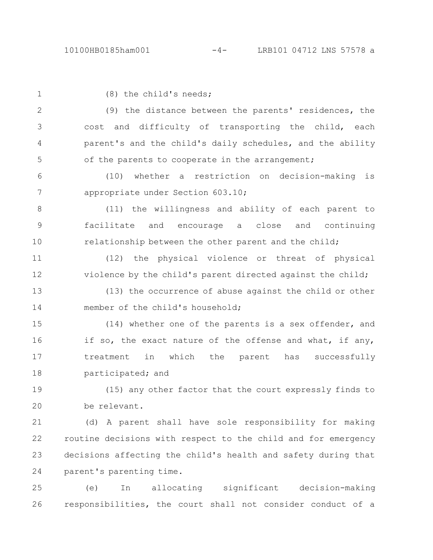| $\mathbf 1$ | (8) the child's needs;                                        |
|-------------|---------------------------------------------------------------|
| 2           | (9) the distance between the parents' residences, the         |
| 3           | cost and difficulty of transporting the child, each           |
| 4           | parent's and the child's daily schedules, and the ability     |
| 5           | of the parents to cooperate in the arrangement;               |
| 6           | whether a restriction on decision-making<br>(10)<br>is        |
| 7           | appropriate under Section 603.10;                             |
| 8           | (11) the willingness and ability of each parent to            |
| $\mathsf 9$ | facilitate and encourage a close and continuing               |
| 10          | relationship between the other parent and the child;          |
| 11          | (12) the physical violence or threat of physical              |
| 12          | violence by the child's parent directed against the child;    |
| 13          | (13) the occurrence of abuse against the child or other       |
| 14          | member of the child's household;                              |
| 15          | (14) whether one of the parents is a sex offender, and        |
| 16          | if so, the exact nature of the offense and what, if any,      |
| 17          | in which the parent has successfully<br>treatment             |
| 18          | participated; and                                             |
| 19          | (15) any other factor that the court expressly finds to       |
| 20          | be relevant.                                                  |
| 21          | (d) A parent shall have sole responsibility for making        |
| 22          | routine decisions with respect to the child and for emergency |
| 23          | decisions affecting the child's health and safety during that |
| 24          | parent's parenting time.                                      |
|             |                                                               |

(e) In allocating significant decision-making 25 26 responsibilities, the court shall not consider conduct of a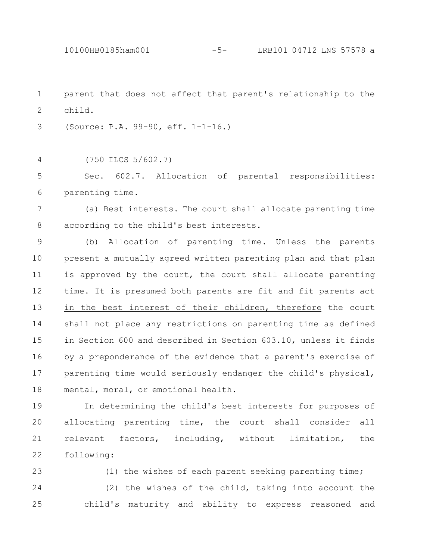10100HB0185ham001 -5- LRB101 04712 LNS 57578 a

parent that does not affect that parent's relationship to the child. 1 2

(Source: P.A. 99-90, eff. 1-1-16.) 3

(750 ILCS 5/602.7) 4

Sec. 602.7. Allocation of parental responsibilities: parenting time. 5 6

(a) Best interests. The court shall allocate parenting time according to the child's best interests. 7 8

(b) Allocation of parenting time. Unless the parents present a mutually agreed written parenting plan and that plan is approved by the court, the court shall allocate parenting time. It is presumed both parents are fit and fit parents act in the best interest of their children, therefore the court shall not place any restrictions on parenting time as defined in Section 600 and described in Section 603.10, unless it finds by a preponderance of the evidence that a parent's exercise of parenting time would seriously endanger the child's physical, mental, moral, or emotional health. 9 10 11 12 13 14 15 16 17 18

In determining the child's best interests for purposes of allocating parenting time, the court shall consider all relevant factors, including, without limitation, the following: 19 20 21 22

(1) the wishes of each parent seeking parenting time; (2) the wishes of the child, taking into account the child's maturity and ability to express reasoned and 23 24 25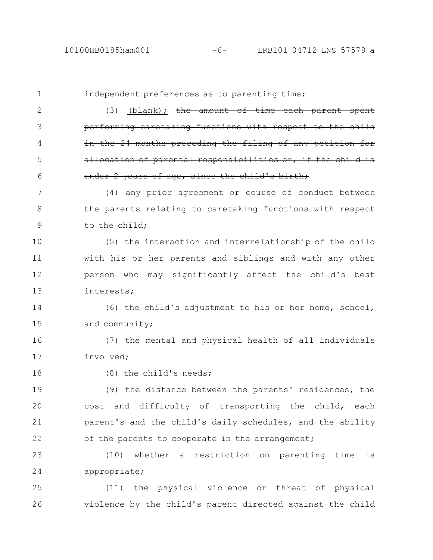independent preferences as to parenting time;  $(3)$  (blank); the amount of time each parent spent performing caretaking functions with respect to in the 24 months preceding the filing of any pet allocation of parental responsibilities or, under 2 years of age, since the child's birth; (4) any prior agreement or course of conduct between the parents relating to caretaking functions with respect to the child; (5) the interaction and interrelationship of the child with his or her parents and siblings and with any other person who may significantly affect the child's best interests; (6) the child's adjustment to his or her home, school, and community; (7) the mental and physical health of all individuals involved; (8) the child's needs; (9) the distance between the parents' residences, the cost and difficulty of transporting the child, each parent's and the child's daily schedules, and the ability of the parents to cooperate in the arrangement; (10) whether a restriction on parenting time is appropriate; 1 2 3 4 5 6 7 8 9 10 11 12 13 14 15 16 17 18 19 20 21 22 23 24

(11) the physical violence or threat of physical violence by the child's parent directed against the child 25 26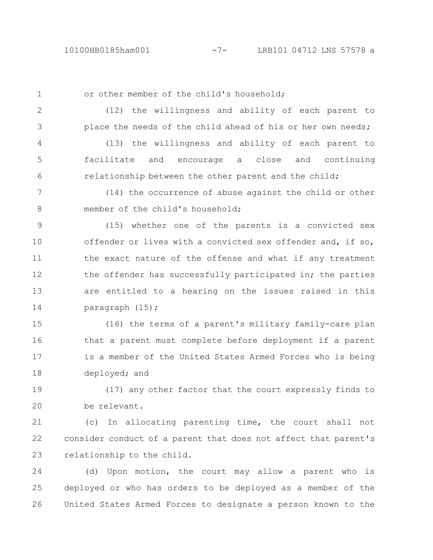1

2

3

or other member of the child's household;

(12) the willingness and ability of each parent to place the needs of the child ahead of his or her own needs;

(13) the willingness and ability of each parent to facilitate and encourage a close and continuing relationship between the other parent and the child; 4 5 6

(14) the occurrence of abuse against the child or other member of the child's household; 7 8

(15) whether one of the parents is a convicted sex offender or lives with a convicted sex offender and, if so, the exact nature of the offense and what if any treatment the offender has successfully participated in; the parties are entitled to a hearing on the issues raised in this paragraph (15); 9 10 11 12 13 14

(16) the terms of a parent's military family-care plan that a parent must complete before deployment if a parent is a member of the United States Armed Forces who is being deployed; and 15 16 17 18

(17) any other factor that the court expressly finds to be relevant. 19 20

(c) In allocating parenting time, the court shall not consider conduct of a parent that does not affect that parent's relationship to the child. 21 22 23

(d) Upon motion, the court may allow a parent who is deployed or who has orders to be deployed as a member of the United States Armed Forces to designate a person known to the 24 25 26